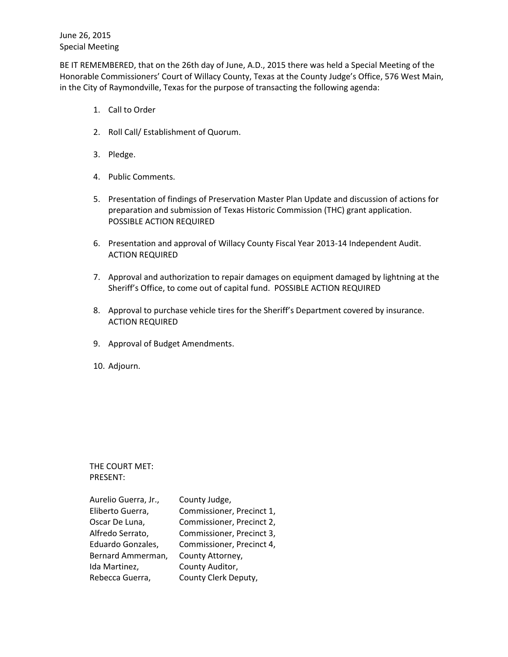June 26, 2015 Special Meeting

BE IT REMEMBERED, that on the 26th day of June, A.D., 2015 there was held a Special Meeting of the Honorable Commissioners' Court of Willacy County, Texas at the County Judge's Office, 576 West Main, in the City of Raymondville, Texas for the purpose of transacting the following agenda:

- 1. Call to Order
- 2. Roll Call/ Establishment of Quorum.
- 3. Pledge.
- 4. Public Comments.
- 5. Presentation of findings of Preservation Master Plan Update and discussion of actions for preparation and submission of Texas Historic Commission (THC) grant application. POSSIBLE ACTION REQUIRED
- 6. Presentation and approval of Willacy County Fiscal Year 2013-14 Independent Audit. ACTION REQUIRED
- 7. Approval and authorization to repair damages on equipment damaged by lightning at the Sheriff's Office, to come out of capital fund. POSSIBLE ACTION REQUIRED
- 8. Approval to purchase vehicle tires for the Sheriff's Department covered by insurance. ACTION REQUIRED
- 9. Approval of Budget Amendments.
- 10. Adjourn.

THE COURT MET: PRESENT:

| Aurelio Guerra, Jr., | County Judge,             |
|----------------------|---------------------------|
| Eliberto Guerra,     | Commissioner, Precinct 1, |
| Oscar De Luna,       | Commissioner, Precinct 2, |
| Alfredo Serrato,     | Commissioner, Precinct 3, |
| Eduardo Gonzales,    | Commissioner, Precinct 4, |
| Bernard Ammerman,    | County Attorney,          |
| Ida Martinez,        | County Auditor,           |
| Rebecca Guerra,      | County Clerk Deputy,      |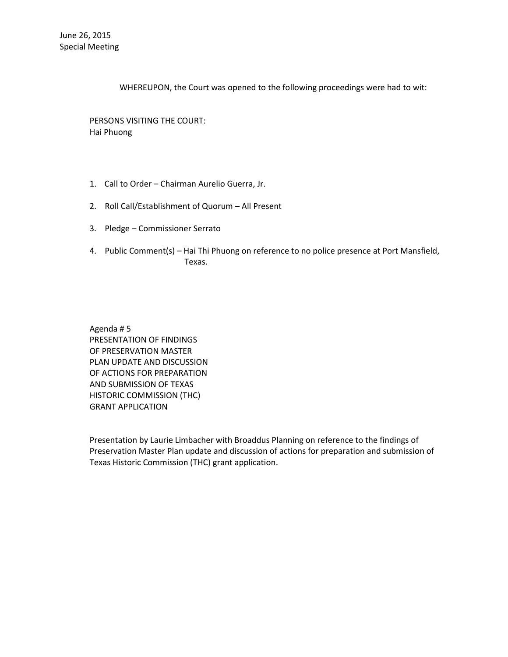WHEREUPON, the Court was opened to the following proceedings were had to wit:

PERSONS VISITING THE COURT: Hai Phuong

- 1. Call to Order Chairman Aurelio Guerra, Jr.
- 2. Roll Call/Establishment of Quorum All Present
- 3. Pledge Commissioner Serrato
- 4. Public Comment(s) Hai Thi Phuong on reference to no police presence at Port Mansfield, Texas.

Agenda # 5 PRESENTATION OF FINDINGS OF PRESERVATION MASTER PLAN UPDATE AND DISCUSSION OF ACTIONS FOR PREPARATION AND SUBMISSION OF TEXAS HISTORIC COMMISSION (THC) GRANT APPLICATION

Presentation by Laurie Limbacher with Broaddus Planning on reference to the findings of Preservation Master Plan update and discussion of actions for preparation and submission of Texas Historic Commission (THC) grant application.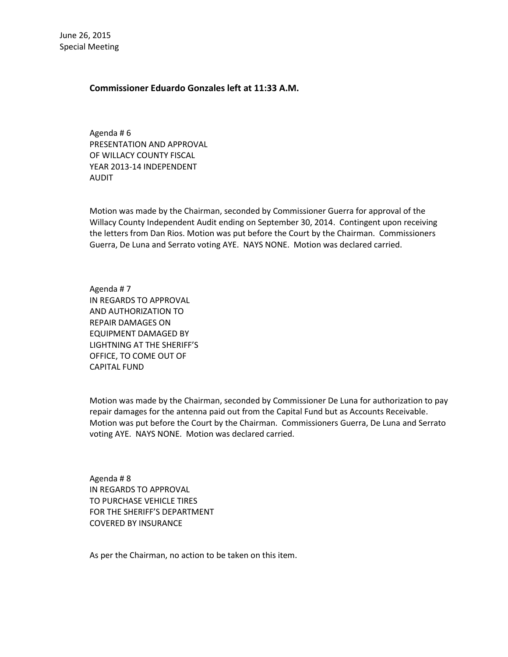## **Commissioner Eduardo Gonzales left at 11:33 A.M.**

Agenda # 6 PRESENTATION AND APPROVAL OF WILLACY COUNTY FISCAL YEAR 2013-14 INDEPENDENT AUDIT

Motion was made by the Chairman, seconded by Commissioner Guerra for approval of the Willacy County Independent Audit ending on September 30, 2014. Contingent upon receiving the letters from Dan Rios. Motion was put before the Court by the Chairman. Commissioners Guerra, De Luna and Serrato voting AYE. NAYS NONE. Motion was declared carried.

Agenda # 7 IN REGARDS TO APPROVAL AND AUTHORIZATION TO REPAIR DAMAGES ON EQUIPMENT DAMAGED BY LIGHTNING AT THE SHERIFF'S OFFICE, TO COME OUT OF CAPITAL FUND

Motion was made by the Chairman, seconded by Commissioner De Luna for authorization to pay repair damages for the antenna paid out from the Capital Fund but as Accounts Receivable. Motion was put before the Court by the Chairman. Commissioners Guerra, De Luna and Serrato voting AYE. NAYS NONE. Motion was declared carried.

Agenda # 8 IN REGARDS TO APPROVAL TO PURCHASE VEHICLE TIRES FOR THE SHERIFF'S DEPARTMENT COVERED BY INSURANCE

As per the Chairman, no action to be taken on this item.